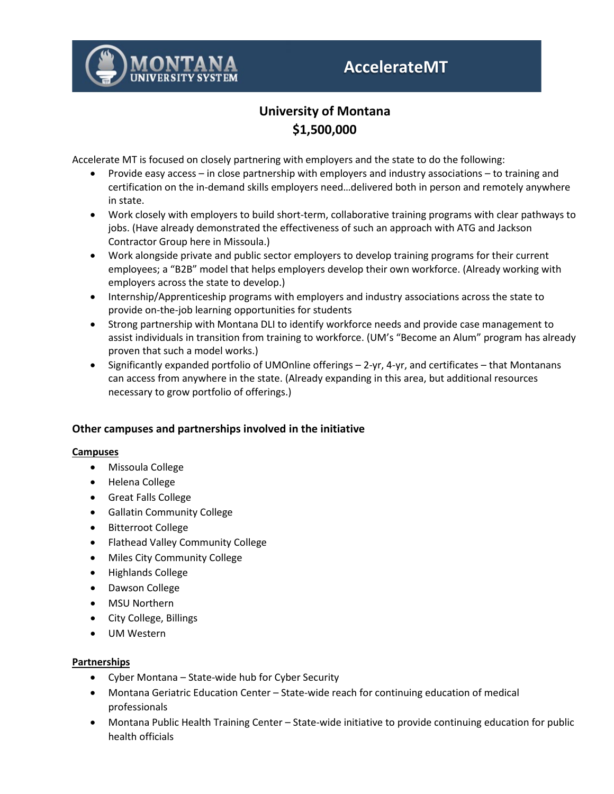

# **AccelerateMT**

# **University of Montana \$1,500,000**

Accelerate MT is focused on closely partnering with employers and the state to do the following:

- Provide easy access in close partnership with employers and industry associations to training and certification on the in-demand skills employers need…delivered both in person and remotely anywhere in state.
- Work closely with employers to build short-term, collaborative training programs with clear pathways to jobs. (Have already demonstrated the effectiveness of such an approach with ATG and Jackson Contractor Group here in Missoula.)
- Work alongside private and public sector employers to develop training programs for their current employees; a "B2B" model that helps employers develop their own workforce. (Already working with employers across the state to develop.)
- Internship/Apprenticeship programs with employers and industry associations across the state to provide on-the-job learning opportunities for students
- Strong partnership with Montana DLI to identify workforce needs and provide case management to assist individuals in transition from training to workforce. (UM's "Become an Alum" program has already proven that such a model works.)
- Significantly expanded portfolio of UMOnline offerings 2-yr, 4-yr, and certificates that Montanans can access from anywhere in the state. (Already expanding in this area, but additional resources necessary to grow portfolio of offerings.)

## **Other campuses and partnerships involved in the initiative**

#### **Campuses**

- Missoula College
- Helena College
- Great Falls College
- Gallatin Community College
- Bitterroot College
- Flathead Valley Community College
- Miles City Community College
- Highlands College
- Dawson College
- MSU Northern
- City College, Billings
- UM Western

## **Partnerships**

- Cyber Montana State-wide hub for Cyber Security
- Montana Geriatric Education Center State-wide reach for continuing education of medical professionals
- Montana Public Health Training Center State-wide initiative to provide continuing education for public health officials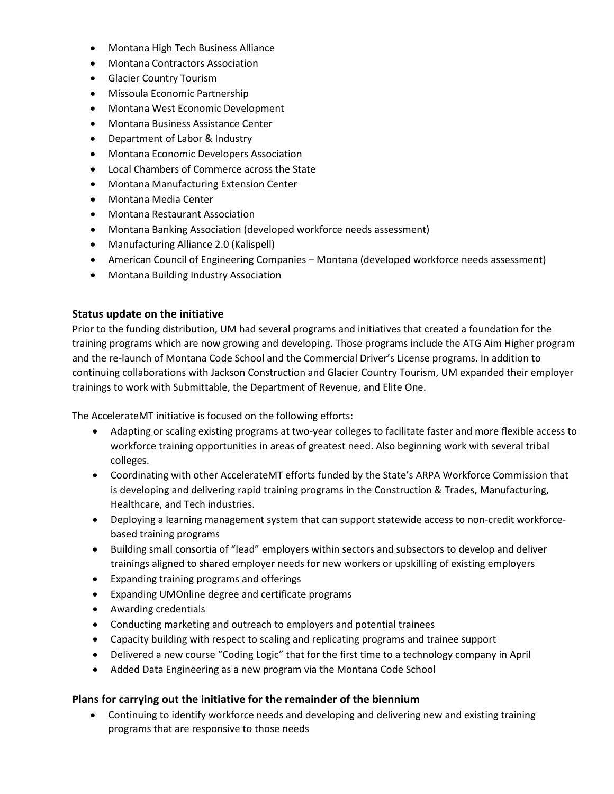- Montana High Tech Business Alliance
- Montana Contractors Association
- Glacier Country Tourism
- Missoula Economic Partnership
- Montana West Economic Development
- Montana Business Assistance Center
- Department of Labor & Industry
- Montana Economic Developers Association
- Local Chambers of Commerce across the State
- Montana Manufacturing Extension Center
- Montana Media Center
- Montana Restaurant Association
- Montana Banking Association (developed workforce needs assessment)
- Manufacturing Alliance 2.0 (Kalispell)
- American Council of Engineering Companies Montana (developed workforce needs assessment)
- Montana Building Industry Association

#### **Status update on the initiative**

Prior to the funding distribution, UM had several programs and initiatives that created a foundation for the training programs which are now growing and developing. Those programs include the ATG Aim Higher program and the re-launch of Montana Code School and the Commercial Driver's License programs. In addition to continuing collaborations with Jackson Construction and Glacier Country Tourism, UM expanded their employer trainings to work with Submittable, the Department of Revenue, and Elite One.

The AccelerateMT initiative is focused on the following efforts:

- Adapting or scaling existing programs at two-year colleges to facilitate faster and more flexible access to workforce training opportunities in areas of greatest need. Also beginning work with several tribal colleges.
- Coordinating with other AccelerateMT efforts funded by the State's ARPA Workforce Commission that is developing and delivering rapid training programs in the Construction & Trades, Manufacturing, Healthcare, and Tech industries.
- Deploying a learning management system that can support statewide access to non-credit workforcebased training programs
- Building small consortia of "lead" employers within sectors and subsectors to develop and deliver trainings aligned to shared employer needs for new workers or upskilling of existing employers
- Expanding training programs and offerings
- Expanding UMOnline degree and certificate programs
- Awarding credentials
- Conducting marketing and outreach to employers and potential trainees
- Capacity building with respect to scaling and replicating programs and trainee support
- Delivered a new course "Coding Logic" that for the first time to a technology company in April
- Added Data Engineering as a new program via the Montana Code School

#### **Plans for carrying out the initiative for the remainder of the biennium**

• Continuing to identify workforce needs and developing and delivering new and existing training programs that are responsive to those needs